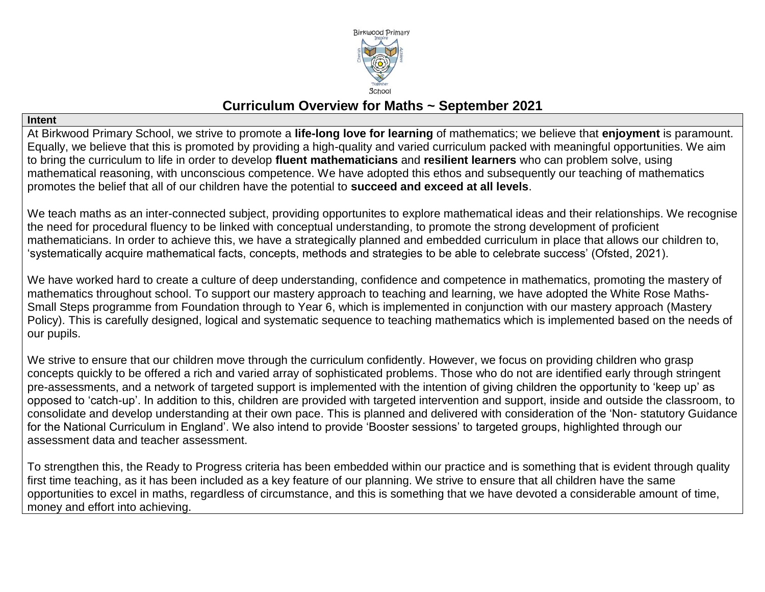

# **Curriculum Overview for Maths ~ September 2021**

**Intent** 

At Birkwood Primary School, we strive to promote a **life-long love for learning** of mathematics; we believe that **enjoyment** is paramount. Equally, we believe that this is promoted by providing a high-quality and varied curriculum packed with meaningful opportunities. We aim to bring the curriculum to life in order to develop **fluent mathematicians** and **resilient learners** who can problem solve, using mathematical reasoning, with unconscious competence. We have adopted this ethos and subsequently our teaching of mathematics promotes the belief that all of our children have the potential to **succeed and exceed at all levels**.

We teach maths as an inter-connected subject, providing opportunites to explore mathematical ideas and their relationships. We recognise the need for procedural fluency to be linked with conceptual understanding, to promote the strong development of proficient mathematicians. In order to achieve this, we have a strategically planned and embedded curriculum in place that allows our children to, 'systematically acquire mathematical facts, concepts, methods and strategies to be able to celebrate success' (Ofsted, 2021).

We have worked hard to create a culture of deep understanding, confidence and competence in mathematics, promoting the mastery of mathematics throughout school. To support our mastery approach to teaching and learning, we have adopted the White Rose Maths-Small Steps programme from Foundation through to Year 6, which is implemented in conjunction with our mastery approach (Mastery Policy). This is carefully designed, logical and systematic sequence to teaching mathematics which is implemented based on the needs of our pupils.

We strive to ensure that our children move through the curriculum confidently. However, we focus on providing children who grasp concepts quickly to be offered a rich and varied array of sophisticated problems. Those who do not are identified early through stringent pre-assessments, and a network of targeted support is implemented with the intention of giving children the opportunity to 'keep up' as opposed to 'catch-up'. In addition to this, children are provided with targeted intervention and support, inside and outside the classroom, to consolidate and develop understanding at their own pace. This is planned and delivered with consideration of the 'Non- statutory Guidance for the National Curriculum in England'. We also intend to provide 'Booster sessions' to targeted groups, highlighted through our assessment data and teacher assessment.

To strengthen this, the Ready to Progress criteria has been embedded within our practice and is something that is evident through quality first time teaching, as it has been included as a key feature of our planning. We strive to ensure that all children have the same opportunities to excel in maths, regardless of circumstance, and this is something that we have devoted a considerable amount of time, money and effort into achieving.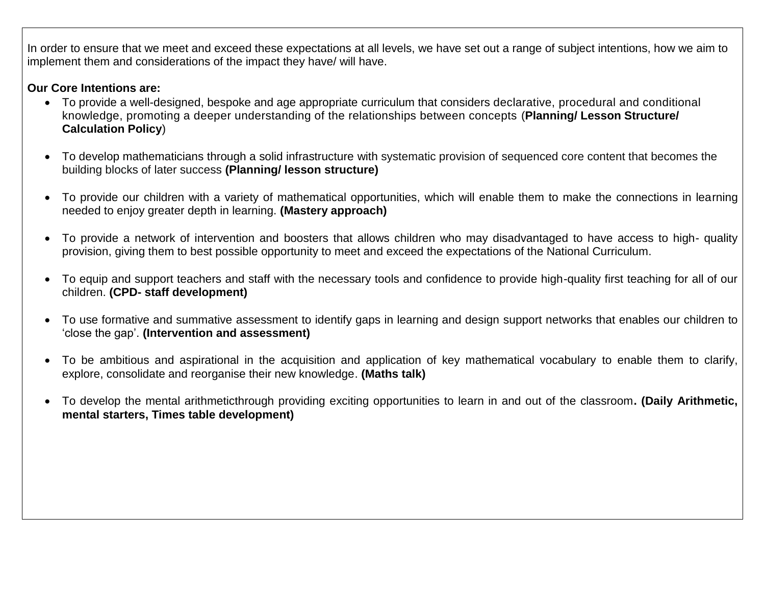In order to ensure that we meet and exceed these expectations at all levels, we have set out a range of subject intentions, how we aim to implement them and considerations of the impact they have/ will have.

### **Our Core Intentions are:**

- To provide a well-designed, bespoke and age appropriate curriculum that considers declarative, procedural and conditional knowledge, promoting a deeper understanding of the relationships between concepts (**Planning/ Lesson Structure/ Calculation Policy**)
- To develop mathematicians through a solid infrastructure with systematic provision of sequenced core content that becomes the building blocks of later success **(Planning/ lesson structure)**
- To provide our children with a variety of mathematical opportunities, which will enable them to make the connections in learning needed to enjoy greater depth in learning. **(Mastery approach)**
- To provide a network of intervention and boosters that allows children who may disadvantaged to have access to high- quality provision, giving them to best possible opportunity to meet and exceed the expectations of the National Curriculum.
- To equip and support teachers and staff with the necessary tools and confidence to provide high-quality first teaching for all of our children. **(CPD- staff development)**
- To use formative and summative assessment to identify gaps in learning and design support networks that enables our children to 'close the gap'. **(Intervention and assessment)**
- To be ambitious and aspirational in the acquisition and application of key mathematical vocabulary to enable them to clarify, explore, consolidate and reorganise their new knowledge. **(Maths talk)**
- To develop the mental arithmeticthrough providing exciting opportunities to learn in and out of the classroom**. (Daily Arithmetic, mental starters, Times table development)**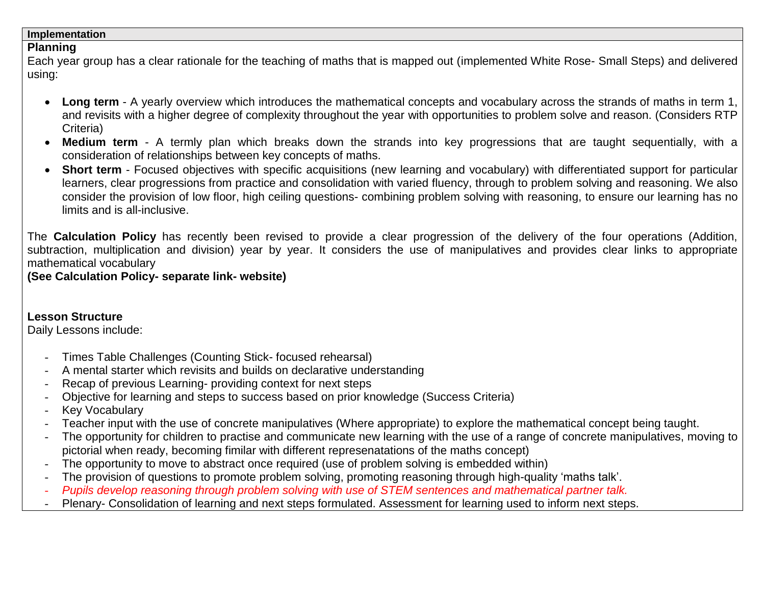#### **Implementation**

### **Planning**

Each year group has a clear rationale for the teaching of maths that is mapped out (implemented White Rose- Small Steps) and delivered using:

- **Long term** A yearly overview which introduces the mathematical concepts and vocabulary across the strands of maths in term 1, and revisits with a higher degree of complexity throughout the year with opportunities to problem solve and reason. (Considers RTP Criteria)
- **Medium term** A termly plan which breaks down the strands into key progressions that are taught sequentially, with a consideration of relationships between key concepts of maths.
- **Short term** Focused objectives with specific acquisitions (new learning and vocabulary) with differentiated support for particular learners, clear progressions from practice and consolidation with varied fluency, through to problem solving and reasoning. We also consider the provision of low floor, high ceiling questions- combining problem solving with reasoning, to ensure our learning has no limits and is all-inclusive.

The **Calculation Policy** has recently been revised to provide a clear progression of the delivery of the four operations (Addition, subtraction, multiplication and division) year by year. It considers the use of manipulatives and provides clear links to appropriate mathematical vocabulary

**(See Calculation Policy- separate link- website)** 

**Lesson Structure** Daily Lessons include:

- Times Table Challenges (Counting Stick- focused rehearsal)
- A mental starter which revisits and builds on declarative understanding
- Recap of previous Learning- providing context for next steps
- Objective for learning and steps to success based on prior knowledge (Success Criteria)
- **Key Vocabulary**
- Teacher input with the use of concrete manipulatives (Where appropriate) to explore the mathematical concept being taught.
- The opportunity for children to practise and communicate new learning with the use of a range of concrete manipulatives, moving to pictorial when ready, becoming fimilar with different represenatations of the maths concept)
- The opportunity to move to abstract once required (use of problem solving is embedded within)
- The provision of questions to promote problem solving, promoting reasoning through high-quality 'maths talk'.
- *Pupils develop reasoning through problem solving with use of STEM sentences and mathematical partner talk.*
- Plenary- Consolidation of learning and next steps formulated. Assessment for learning used to inform next steps.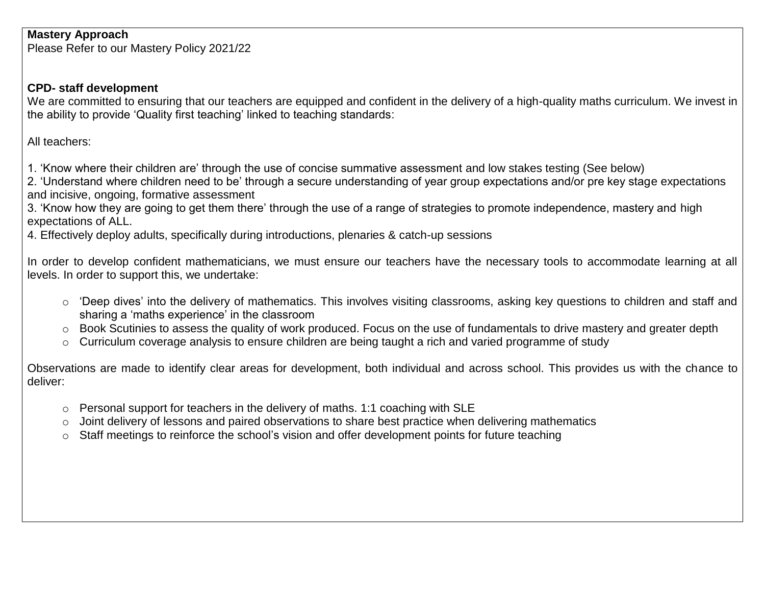### **Mastery Approach**

Please Refer to our Mastery Policy 2021/22

### **CPD- staff development**

We are committed to ensuring that our teachers are equipped and confident in the delivery of a high-quality maths curriculum. We invest in the ability to provide 'Quality first teaching' linked to teaching standards:

All teachers:

1. 'Know where their children are' through the use of concise summative assessment and low stakes testing (See below)

2. 'Understand where children need to be' through a secure understanding of year group expectations and/or pre key stage expectations and incisive, ongoing, formative assessment

3. 'Know how they are going to get them there' through the use of a range of strategies to promote independence, mastery and high expectations of ALL.

4. Effectively deploy adults, specifically during introductions, plenaries & catch-up sessions

In order to develop confident mathematicians, we must ensure our teachers have the necessary tools to accommodate learning at all levels. In order to support this, we undertake:

- o 'Deep dives' into the delivery of mathematics. This involves visiting classrooms, asking key questions to children and staff and sharing a 'maths experience' in the classroom
- o Book Scutinies to assess the quality of work produced. Focus on the use of fundamentals to drive mastery and greater depth
- o Curriculum coverage analysis to ensure children are being taught a rich and varied programme of study

Observations are made to identify clear areas for development, both individual and across school. This provides us with the chance to deliver:

- o Personal support for teachers in the delivery of maths. 1:1 coaching with SLE
- o Joint delivery of lessons and paired observations to share best practice when delivering mathematics
- o Staff meetings to reinforce the school's vision and offer development points for future teaching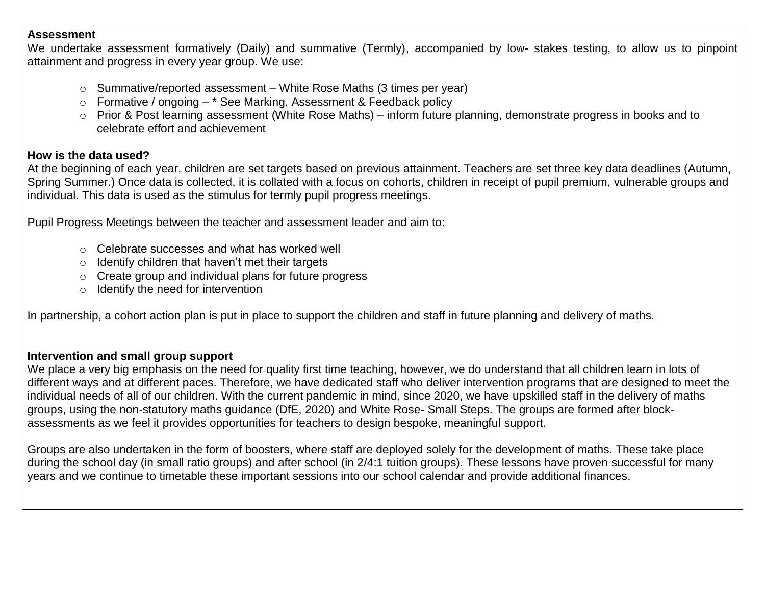#### **Assessment**

We undertake assessment formatively (Daily) and summative (Termly), accompanied by low- stakes testing, to allow us to pinpoint attainment and progress in every year group. We use:

- o Summative/reported assessment White Rose Maths (3 times per year)
- $\circ$  Formative / ongoing  $-$  \* See Marking, Assessment & Feedback policy
- o Prior & Post learning assessment (White Rose Maths) inform future planning, demonstrate progress in books and to celebrate effort and achievement

### **How is the data used?**

At the beginning of each year, children are set targets based on previous attainment. Teachers are set three key data deadlines (Autumn, Spring Summer.) Once data is collected, it is collated with a focus on cohorts, children in receipt of pupil premium, vulnerable groups and individual. This data is used as the stimulus for termly pupil progress meetings.

Pupil Progress Meetings between the teacher and assessment leader and aim to:

- o Celebrate successes and what has worked well
- $\circ$  Identify children that haven't met their targets
- o Create group and individual plans for future progress
- o Identify the need for intervention

In partnership, a cohort action plan is put in place to support the children and staff in future planning and delivery of maths.

#### **Intervention and small group support**

We place a very big emphasis on the need for quality first time teaching, however, we do understand that all children learn in lots of different ways and at different paces. Therefore, we have dedicated staff who deliver intervention programs that are designed to meet the individual needs of all of our children. With the current pandemic in mind, since 2020, we have upskilled staff in the delivery of maths groups, using the non-statutory maths guidance (DfE, 2020) and White Rose- Small Steps. The groups are formed after blockassessments as we feel it provides opportunities for teachers to design bespoke, meaningful support.

Groups are also undertaken in the form of boosters, where staff are deployed solely for the development of maths. These take place during the school day (in small ratio groups) and after school (in 2/4:1 tuition groups). These lessons have proven successful for many years and we continue to timetable these important sessions into our school calendar and provide additional finances.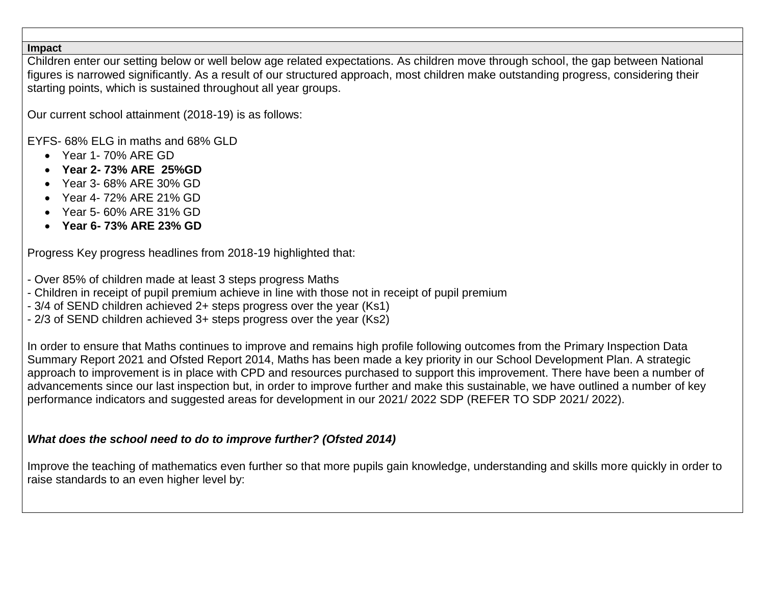#### **Impact**

Children enter our setting below or well below age related expectations. As children move through school, the gap between National figures is narrowed significantly. As a result of our structured approach, most children make outstanding progress, considering their starting points, which is sustained throughout all year groups.

Our current school attainment (2018-19) is as follows:

EYFS- 68% ELG in maths and 68% GLD

- Year 1-70% ARE GD
- **Year 2- 73% ARE 25%GD**
- Year 3- 68% ARE 30% GD
- Year 4- 72% ARE 21% GD
- Year 5- 60% ARE 31% GD
- **Year 6- 73% ARE 23% GD**

Progress Key progress headlines from 2018-19 highlighted that:

- Over 85% of children made at least 3 steps progress Maths
- Children in receipt of pupil premium achieve in line with those not in receipt of pupil premium
- 3/4 of SEND children achieved 2+ steps progress over the year (Ks1)
- 2/3 of SEND children achieved 3+ steps progress over the year (Ks2)

In order to ensure that Maths continues to improve and remains high profile following outcomes from the Primary Inspection Data Summary Report 2021 and Ofsted Report 2014, Maths has been made a key priority in our School Development Plan. A strategic approach to improvement is in place with CPD and resources purchased to support this improvement. There have been a number of advancements since our last inspection but, in order to improve further and make this sustainable, we have outlined a number of key performance indicators and suggested areas for development in our 2021/ 2022 SDP (REFER TO SDP 2021/ 2022).

#### *What does the school need to do to improve further? (Ofsted 2014)*

Improve the teaching of mathematics even further so that more pupils gain knowledge, understanding and skills more quickly in order to raise standards to an even higher level by: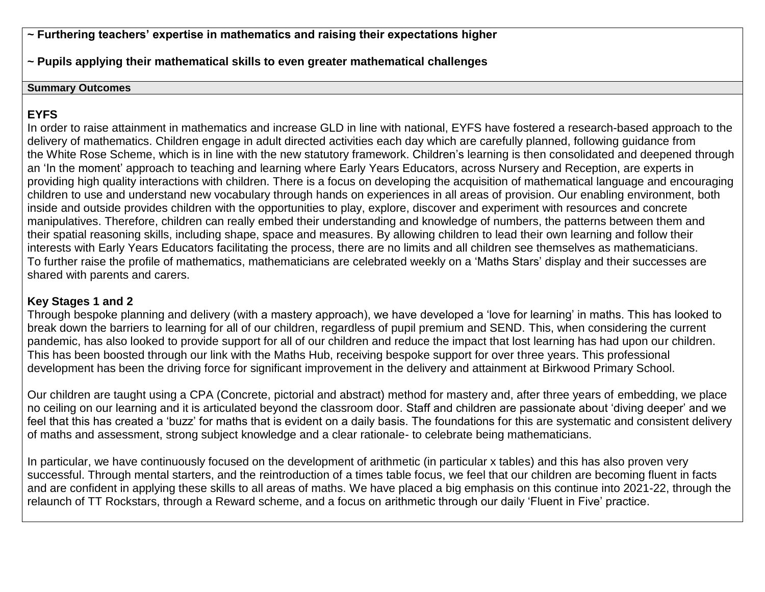**~ Furthering teachers' expertise in mathematics and raising their expectations higher**

**~ Pupils applying their mathematical skills to even greater mathematical challenges** 

#### **Summary Outcomes**

## **EYFS**

In order to raise attainment in mathematics and increase GLD in line with national, EYFS have fostered a research-based approach to the delivery of mathematics. Children engage in adult directed activities each day which are carefully planned, following guidance from the White Rose Scheme, which is in line with the new statutory framework. Children's learning is then consolidated and deepened through an 'In the moment' approach to teaching and learning where Early Years Educators, across Nursery and Reception, are experts in providing high quality interactions with children. There is a focus on developing the acquisition of mathematical language and encouraging children to use and understand new vocabulary through hands on experiences in all areas of provision. Our enabling environment, both inside and outside provides children with the opportunities to play, explore, discover and experiment with resources and concrete manipulatives. Therefore, children can really embed their understanding and knowledge of numbers, the patterns between them and their spatial reasoning skills, including shape, space and measures. By allowing children to lead their own learning and follow their interests with Early Years Educators facilitating the process, there are no limits and all children see themselves as mathematicians. To further raise the profile of mathematics, mathematicians are celebrated weekly on a 'Maths Stars' display and their successes are shared with parents and carers.

### **Key Stages 1 and 2**

Through bespoke planning and delivery (with a mastery approach), we have developed a 'love for learning' in maths. This has looked to break down the barriers to learning for all of our children, regardless of pupil premium and SEND. This, when considering the current pandemic, has also looked to provide support for all of our children and reduce the impact that lost learning has had upon our children. This has been boosted through our link with the Maths Hub, receiving bespoke support for over three years. This professional development has been the driving force for significant improvement in the delivery and attainment at Birkwood Primary School.

Our children are taught using a CPA (Concrete, pictorial and abstract) method for mastery and, after three years of embedding, we place no ceiling on our learning and it is articulated beyond the classroom door. Staff and children are passionate about 'diving deeper' and we feel that this has created a 'buzz' for maths that is evident on a daily basis. The foundations for this are systematic and consistent delivery of maths and assessment, strong subject knowledge and a clear rationale- to celebrate being mathematicians.

In particular, we have continuously focused on the development of arithmetic (in particular x tables) and this has also proven very successful. Through mental starters, and the reintroduction of a times table focus, we feel that our children are becoming fluent in facts and are confident in applying these skills to all areas of maths. We have placed a big emphasis on this continue into 2021-22, through the relaunch of TT Rockstars, through a Reward scheme, and a focus on arithmetic through our daily 'Fluent in Five' practice.